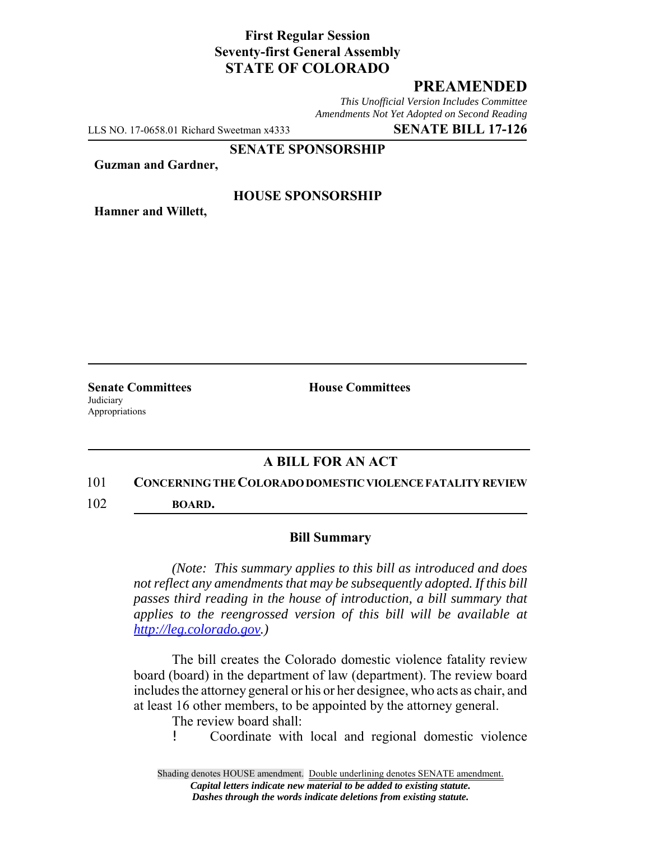# **First Regular Session Seventy-first General Assembly STATE OF COLORADO**

# **PREAMENDED**

*This Unofficial Version Includes Committee Amendments Not Yet Adopted on Second Reading*

LLS NO. 17-0658.01 Richard Sweetman x4333 **SENATE BILL 17-126**

#### **SENATE SPONSORSHIP**

**Guzman and Gardner,**

### **HOUSE SPONSORSHIP**

**Hamner and Willett,**

**Judiciary** Appropriations

**Senate Committees House Committees** 

## **A BILL FOR AN ACT**

#### 101 **CONCERNING THE COLORADO DOMESTIC VIOLENCE FATALITY REVIEW**

102 **BOARD.**

### **Bill Summary**

*(Note: This summary applies to this bill as introduced and does not reflect any amendments that may be subsequently adopted. If this bill passes third reading in the house of introduction, a bill summary that applies to the reengrossed version of this bill will be available at http://leg.colorado.gov.)*

The bill creates the Colorado domestic violence fatality review board (board) in the department of law (department). The review board includes the attorney general or his or her designee, who acts as chair, and at least 16 other members, to be appointed by the attorney general.

The review board shall:

! Coordinate with local and regional domestic violence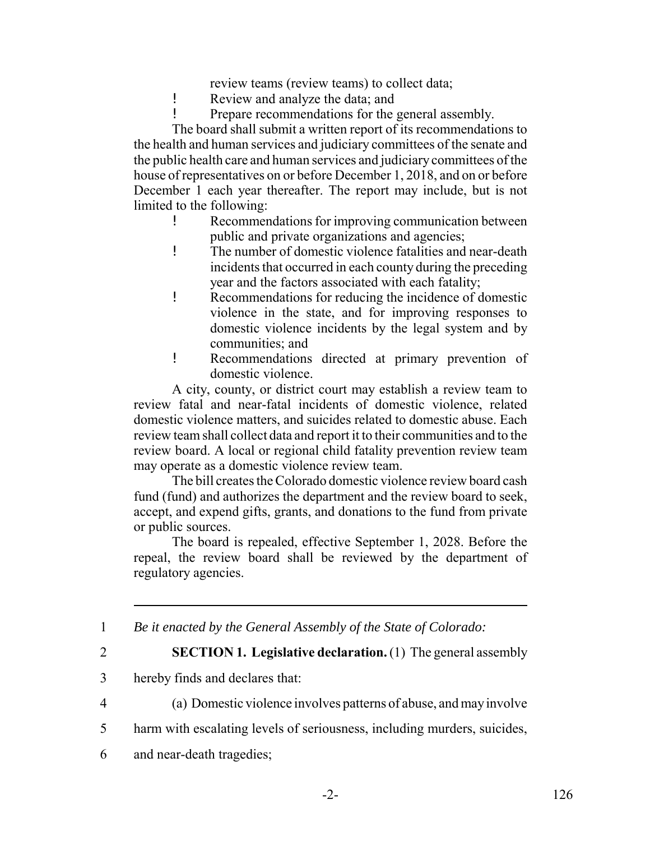review teams (review teams) to collect data;

- ! Review and analyze the data; and
- ! Prepare recommendations for the general assembly.

The board shall submit a written report of its recommendations to the health and human services and judiciary committees of the senate and the public health care and human services and judiciary committees of the house of representatives on or before December 1, 2018, and on or before December 1 each year thereafter. The report may include, but is not limited to the following:

- ! Recommendations for improving communication between public and private organizations and agencies;
- ! The number of domestic violence fatalities and near-death incidents that occurred in each county during the preceding year and the factors associated with each fatality;
- ! Recommendations for reducing the incidence of domestic violence in the state, and for improving responses to domestic violence incidents by the legal system and by communities; and
- ! Recommendations directed at primary prevention of domestic violence.

A city, county, or district court may establish a review team to review fatal and near-fatal incidents of domestic violence, related domestic violence matters, and suicides related to domestic abuse. Each review team shall collect data and report it to their communities and to the review board. A local or regional child fatality prevention review team may operate as a domestic violence review team.

The bill creates the Colorado domestic violence review board cash fund (fund) and authorizes the department and the review board to seek, accept, and expend gifts, grants, and donations to the fund from private or public sources.

The board is repealed, effective September 1, 2028. Before the repeal, the review board shall be reviewed by the department of regulatory agencies.

1 *Be it enacted by the General Assembly of the State of Colorado:*

2 **SECTION 1. Legislative declaration.** (1) The general assembly

- 3 hereby finds and declares that:
- 4 (a) Domestic violence involves patterns of abuse, and may involve
- 5 harm with escalating levels of seriousness, including murders, suicides,
- 6 and near-death tragedies;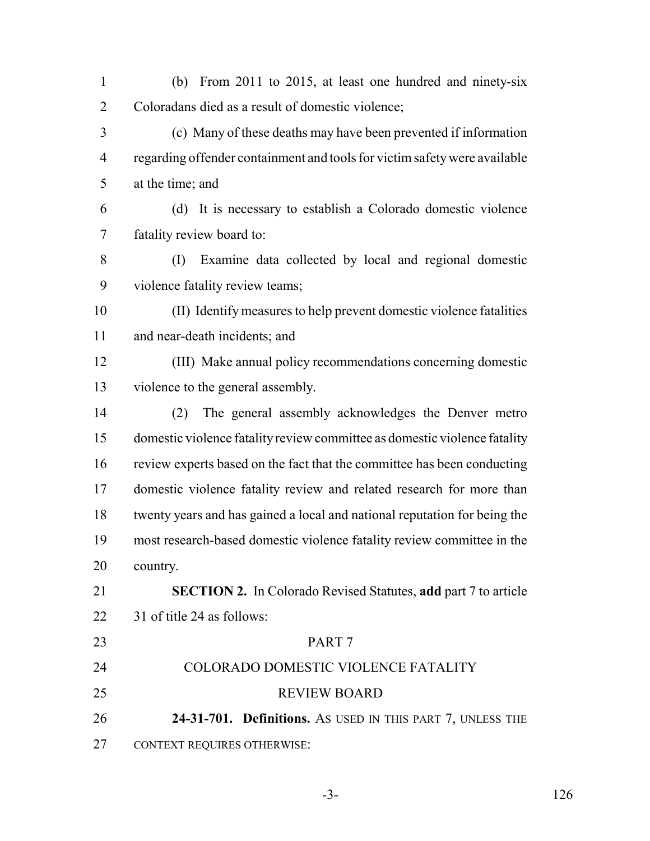- (b) From 2011 to 2015, at least one hundred and ninety-six Coloradans died as a result of domestic violence;
- (c) Many of these deaths may have been prevented if information regarding offender containment and tools for victim safety were available at the time; and
- (d) It is necessary to establish a Colorado domestic violence fatality review board to:
- (I) Examine data collected by local and regional domestic violence fatality review teams;
- (II) Identify measures to help prevent domestic violence fatalities and near-death incidents; and
- (III) Make annual policy recommendations concerning domestic violence to the general assembly.
- (2) The general assembly acknowledges the Denver metro domestic violence fatality review committee as domestic violence fatality review experts based on the fact that the committee has been conducting domestic violence fatality review and related research for more than twenty years and has gained a local and national reputation for being the most research-based domestic violence fatality review committee in the country.
- **SECTION 2.** In Colorado Revised Statutes, **add** part 7 to article 31 of title 24 as follows:
- PART 7 COLORADO DOMESTIC VIOLENCE FATALITY REVIEW BOARD **24-31-701. Definitions.** AS USED IN THIS PART 7, UNLESS THE CONTEXT REQUIRES OTHERWISE:
	-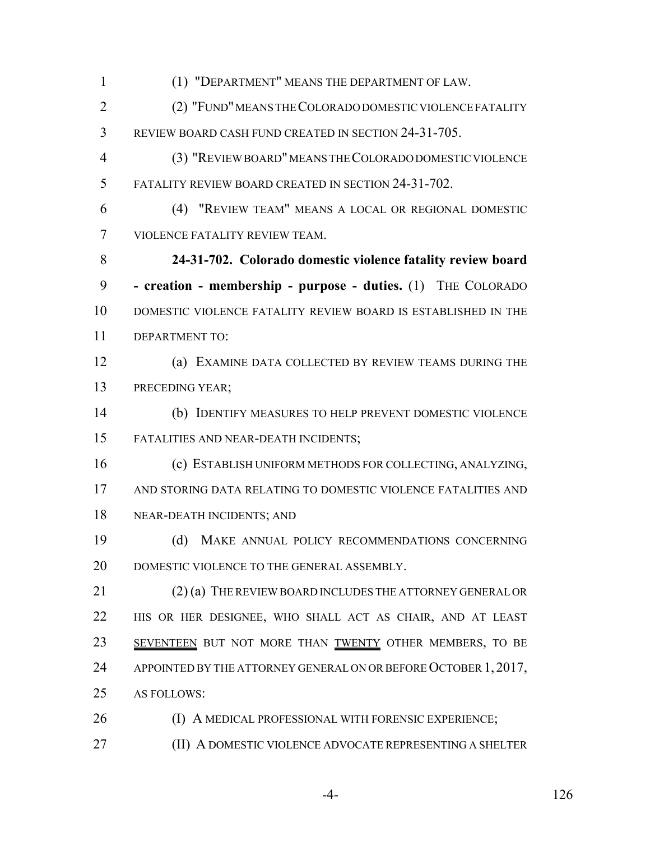(1) "DEPARTMENT" MEANS THE DEPARTMENT OF LAW. (2) "FUND" MEANS THE COLORADO DOMESTIC VIOLENCE FATALITY REVIEW BOARD CASH FUND CREATED IN SECTION 24-31-705. (3) "REVIEW BOARD" MEANS THE COLORADO DOMESTIC VIOLENCE FATALITY REVIEW BOARD CREATED IN SECTION 24-31-702. (4) "REVIEW TEAM" MEANS A LOCAL OR REGIONAL DOMESTIC VIOLENCE FATALITY REVIEW TEAM. **24-31-702. Colorado domestic violence fatality review board - creation - membership - purpose - duties.** (1) THE COLORADO DOMESTIC VIOLENCE FATALITY REVIEW BOARD IS ESTABLISHED IN THE DEPARTMENT TO: (a) EXAMINE DATA COLLECTED BY REVIEW TEAMS DURING THE PRECEDING YEAR; (b) IDENTIFY MEASURES TO HELP PREVENT DOMESTIC VIOLENCE FATALITIES AND NEAR-DEATH INCIDENTS; (c) ESTABLISH UNIFORM METHODS FOR COLLECTING, ANALYZING, AND STORING DATA RELATING TO DOMESTIC VIOLENCE FATALITIES AND NEAR-DEATH INCIDENTS; AND (d) MAKE ANNUAL POLICY RECOMMENDATIONS CONCERNING 20 DOMESTIC VIOLENCE TO THE GENERAL ASSEMBLY. (2) (a) THE REVIEW BOARD INCLUDES THE ATTORNEY GENERAL OR HIS OR HER DESIGNEE, WHO SHALL ACT AS CHAIR, AND AT LEAST 23 SEVENTEEN BUT NOT MORE THAN TWENTY OTHER MEMBERS, TO BE 24 APPOINTED BY THE ATTORNEY GENERAL ON OR BEFORE OCTOBER 1, 2017, AS FOLLOWS: **(I) A MEDICAL PROFESSIONAL WITH FORENSIC EXPERIENCE;** (II) A DOMESTIC VIOLENCE ADVOCATE REPRESENTING A SHELTER

-4- 126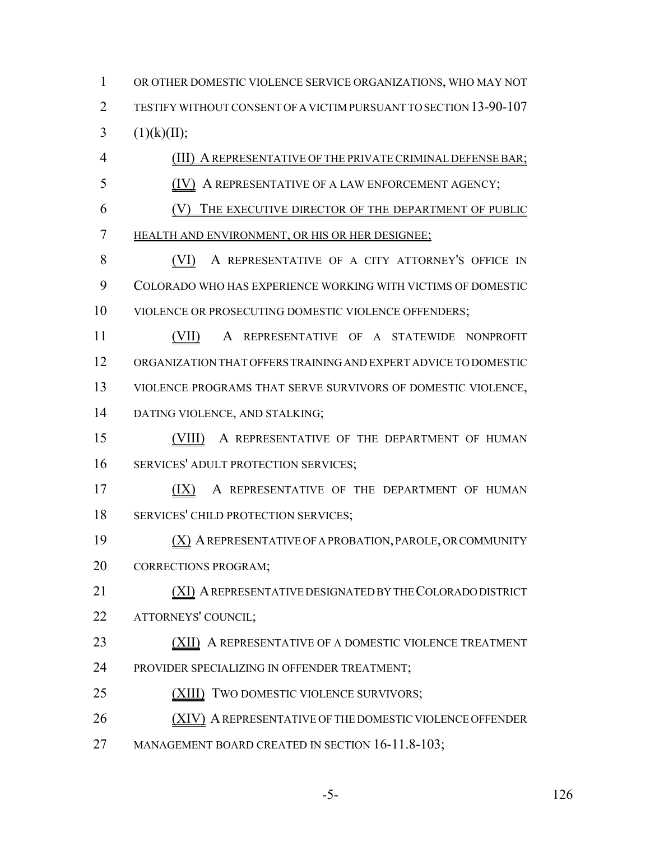OR OTHER DOMESTIC VIOLENCE SERVICE ORGANIZATIONS, WHO MAY NOT TESTIFY WITHOUT CONSENT OF A VICTIM PURSUANT TO SECTION 13-90-107 3  $(1)(k)(II);$ 

 (III) A REPRESENTATIVE OF THE PRIVATE CRIMINAL DEFENSE BAR; (IV) A REPRESENTATIVE OF A LAW ENFORCEMENT AGENCY;

 (V) THE EXECUTIVE DIRECTOR OF THE DEPARTMENT OF PUBLIC HEALTH AND ENVIRONMENT, OR HIS OR HER DESIGNEE;

 (VI) A REPRESENTATIVE OF A CITY ATTORNEY'S OFFICE IN COLORADO WHO HAS EXPERIENCE WORKING WITH VICTIMS OF DOMESTIC VIOLENCE OR PROSECUTING DOMESTIC VIOLENCE OFFENDERS;

**(VII)** A REPRESENTATIVE OF A STATEWIDE NONPROFIT ORGANIZATION THAT OFFERS TRAINING AND EXPERT ADVICE TO DOMESTIC VIOLENCE PROGRAMS THAT SERVE SURVIVORS OF DOMESTIC VIOLENCE, DATING VIOLENCE, AND STALKING;

 (VIII) A REPRESENTATIVE OF THE DEPARTMENT OF HUMAN SERVICES' ADULT PROTECTION SERVICES;

17 (IX) A REPRESENTATIVE OF THE DEPARTMENT OF HUMAN SERVICES' CHILD PROTECTION SERVICES;

 (X) A REPRESENTATIVE OF A PROBATION, PAROLE, OR COMMUNITY CORRECTIONS PROGRAM;

 (XI) A REPRESENTATIVE DESIGNATED BY THE COLORADO DISTRICT ATTORNEYS' COUNCIL;

23 (XII) A REPRESENTATIVE OF A DOMESTIC VIOLENCE TREATMENT PROVIDER SPECIALIZING IN OFFENDER TREATMENT;

25 (XIII) TWO DOMESTIC VIOLENCE SURVIVORS;

(XIV) A REPRESENTATIVE OF THE DOMESTIC VIOLENCE OFFENDER

27 MANAGEMENT BOARD CREATED IN SECTION 16-11.8-103;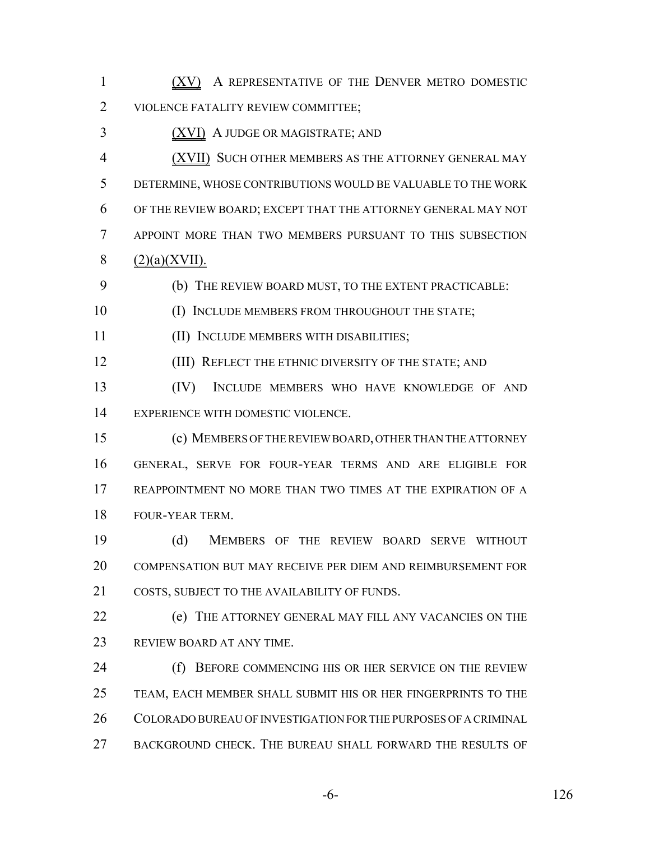1 (XV) A REPRESENTATIVE OF THE DENVER METRO DOMESTIC VIOLENCE FATALITY REVIEW COMMITTEE;

(XVI) A JUDGE OR MAGISTRATE; AND

 (XVII) SUCH OTHER MEMBERS AS THE ATTORNEY GENERAL MAY DETERMINE, WHOSE CONTRIBUTIONS WOULD BE VALUABLE TO THE WORK OF THE REVIEW BOARD; EXCEPT THAT THE ATTORNEY GENERAL MAY NOT APPOINT MORE THAN TWO MEMBERS PURSUANT TO THIS SUBSECTION  $8 \qquad (2)(a)(XVII).$ 

(b) THE REVIEW BOARD MUST, TO THE EXTENT PRACTICABLE:

- 10 (I) INCLUDE MEMBERS FROM THROUGHOUT THE STATE;
- (II) INCLUDE MEMBERS WITH DISABILITIES;

12 (III) REFLECT THE ETHNIC DIVERSITY OF THE STATE; AND

 (IV) INCLUDE MEMBERS WHO HAVE KNOWLEDGE OF AND EXPERIENCE WITH DOMESTIC VIOLENCE.

 (c) MEMBERS OF THE REVIEW BOARD, OTHER THAN THE ATTORNEY GENERAL, SERVE FOR FOUR-YEAR TERMS AND ARE ELIGIBLE FOR REAPPOINTMENT NO MORE THAN TWO TIMES AT THE EXPIRATION OF A FOUR-YEAR TERM.

 (d) MEMBERS OF THE REVIEW BOARD SERVE WITHOUT COMPENSATION BUT MAY RECEIVE PER DIEM AND REIMBURSEMENT FOR 21 COSTS, SUBJECT TO THE AVAILABILITY OF FUNDS.

 (e) THE ATTORNEY GENERAL MAY FILL ANY VACANCIES ON THE REVIEW BOARD AT ANY TIME.

24 (f) BEFORE COMMENCING HIS OR HER SERVICE ON THE REVIEW TEAM, EACH MEMBER SHALL SUBMIT HIS OR HER FINGERPRINTS TO THE COLORADO BUREAU OF INVESTIGATION FOR THE PURPOSES OF A CRIMINAL BACKGROUND CHECK. THE BUREAU SHALL FORWARD THE RESULTS OF

-6- 126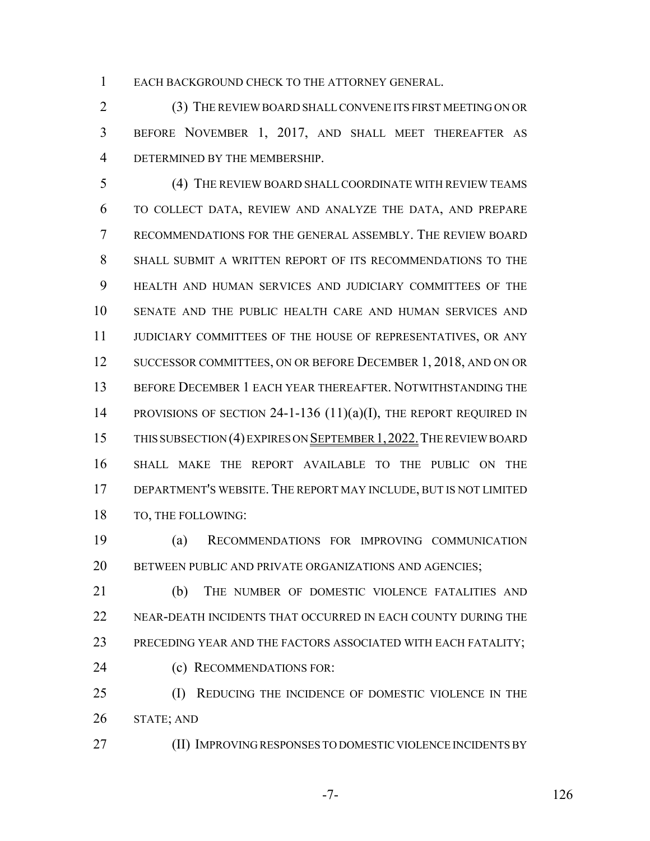EACH BACKGROUND CHECK TO THE ATTORNEY GENERAL.

 (3) THE REVIEW BOARD SHALL CONVENE ITS FIRST MEETING ON OR BEFORE NOVEMBER 1, 2017, AND SHALL MEET THEREAFTER AS DETERMINED BY THE MEMBERSHIP.

 (4) THE REVIEW BOARD SHALL COORDINATE WITH REVIEW TEAMS TO COLLECT DATA, REVIEW AND ANALYZE THE DATA, AND PREPARE RECOMMENDATIONS FOR THE GENERAL ASSEMBLY. THE REVIEW BOARD SHALL SUBMIT A WRITTEN REPORT OF ITS RECOMMENDATIONS TO THE HEALTH AND HUMAN SERVICES AND JUDICIARY COMMITTEES OF THE SENATE AND THE PUBLIC HEALTH CARE AND HUMAN SERVICES AND JUDICIARY COMMITTEES OF THE HOUSE OF REPRESENTATIVES, OR ANY 12 SUCCESSOR COMMITTEES, ON OR BEFORE DECEMBER 1, 2018, AND ON OR BEFORE DECEMBER 1 EACH YEAR THEREAFTER. NOTWITHSTANDING THE 14 PROVISIONS OF SECTION 24-1-136 (11)(a)(I), THE REPORT REQUIRED IN THIS SUBSECTION (4) EXPIRES ON SEPTEMBER 1,2022.THE REVIEW BOARD SHALL MAKE THE REPORT AVAILABLE TO THE PUBLIC ON THE DEPARTMENT'S WEBSITE. THE REPORT MAY INCLUDE, BUT IS NOT LIMITED TO, THE FOLLOWING:

 (a) RECOMMENDATIONS FOR IMPROVING COMMUNICATION 20 BETWEEN PUBLIC AND PRIVATE ORGANIZATIONS AND AGENCIES;

 (b) THE NUMBER OF DOMESTIC VIOLENCE FATALITIES AND NEAR-DEATH INCIDENTS THAT OCCURRED IN EACH COUNTY DURING THE PRECEDING YEAR AND THE FACTORS ASSOCIATED WITH EACH FATALITY; (c) RECOMMENDATIONS FOR:

 (I) REDUCING THE INCIDENCE OF DOMESTIC VIOLENCE IN THE STATE; AND

(II) IMPROVING RESPONSES TO DOMESTIC VIOLENCE INCIDENTS BY

$$
-7-
$$

-7- 126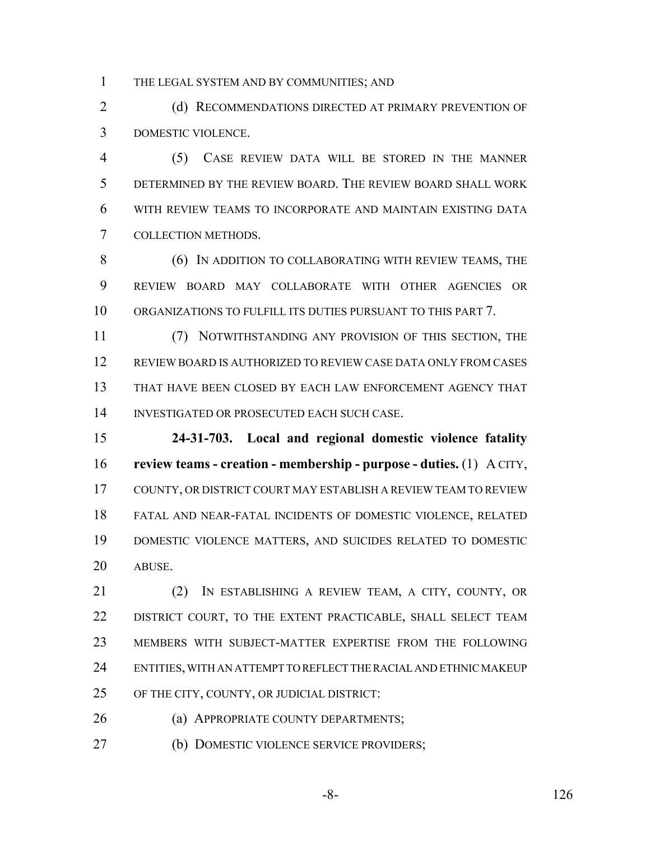THE LEGAL SYSTEM AND BY COMMUNITIES; AND

2 (d) RECOMMENDATIONS DIRECTED AT PRIMARY PREVENTION OF DOMESTIC VIOLENCE.

 (5) CASE REVIEW DATA WILL BE STORED IN THE MANNER DETERMINED BY THE REVIEW BOARD. THE REVIEW BOARD SHALL WORK WITH REVIEW TEAMS TO INCORPORATE AND MAINTAIN EXISTING DATA COLLECTION METHODS.

**(6)** IN ADDITION TO COLLABORATING WITH REVIEW TEAMS, THE REVIEW BOARD MAY COLLABORATE WITH OTHER AGENCIES OR ORGANIZATIONS TO FULFILL ITS DUTIES PURSUANT TO THIS PART 7.

 (7) NOTWITHSTANDING ANY PROVISION OF THIS SECTION, THE REVIEW BOARD IS AUTHORIZED TO REVIEW CASE DATA ONLY FROM CASES THAT HAVE BEEN CLOSED BY EACH LAW ENFORCEMENT AGENCY THAT INVESTIGATED OR PROSECUTED EACH SUCH CASE.

 **24-31-703. Local and regional domestic violence fatality review teams - creation - membership - purpose - duties.** (1) A CITY, COUNTY, OR DISTRICT COURT MAY ESTABLISH A REVIEW TEAM TO REVIEW FATAL AND NEAR-FATAL INCIDENTS OF DOMESTIC VIOLENCE, RELATED DOMESTIC VIOLENCE MATTERS, AND SUICIDES RELATED TO DOMESTIC ABUSE.

 (2) IN ESTABLISHING A REVIEW TEAM, A CITY, COUNTY, OR DISTRICT COURT, TO THE EXTENT PRACTICABLE, SHALL SELECT TEAM MEMBERS WITH SUBJECT-MATTER EXPERTISE FROM THE FOLLOWING ENTITIES, WITH AN ATTEMPT TO REFLECT THE RACIAL AND ETHNIC MAKEUP OF THE CITY, COUNTY, OR JUDICIAL DISTRICT:

**(a) APPROPRIATE COUNTY DEPARTMENTS;** 

(b) DOMESTIC VIOLENCE SERVICE PROVIDERS;

-8- 126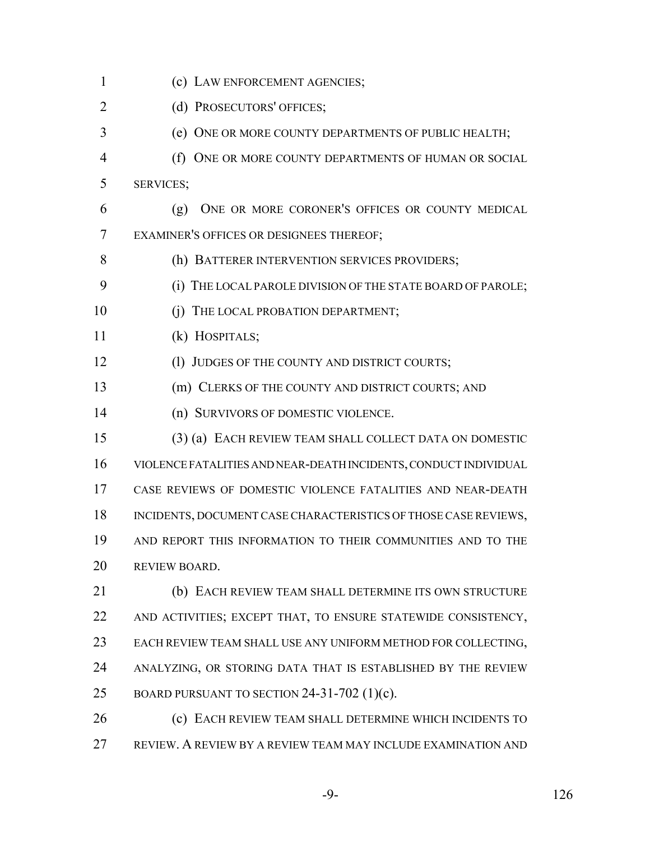(c) LAW ENFORCEMENT AGENCIES; 2 (d) PROSECUTORS' OFFICES; (e) ONE OR MORE COUNTY DEPARTMENTS OF PUBLIC HEALTH; 4 (f) ONE OR MORE COUNTY DEPARTMENTS OF HUMAN OR SOCIAL SERVICES; (g) ONE OR MORE CORONER'S OFFICES OR COUNTY MEDICAL EXAMINER'S OFFICES OR DESIGNEES THEREOF; 8 (h) BATTERER INTERVENTION SERVICES PROVIDERS; (i) THE LOCAL PAROLE DIVISION OF THE STATE BOARD OF PAROLE; 10 (i) THE LOCAL PROBATION DEPARTMENT; (k) HOSPITALS; 12 (1) JUDGES OF THE COUNTY AND DISTRICT COURTS; (m) CLERKS OF THE COUNTY AND DISTRICT COURTS; AND (n) SURVIVORS OF DOMESTIC VIOLENCE. (3) (a) EACH REVIEW TEAM SHALL COLLECT DATA ON DOMESTIC VIOLENCE FATALITIES AND NEAR-DEATH INCIDENTS, CONDUCT INDIVIDUAL CASE REVIEWS OF DOMESTIC VIOLENCE FATALITIES AND NEAR-DEATH INCIDENTS, DOCUMENT CASE CHARACTERISTICS OF THOSE CASE REVIEWS, AND REPORT THIS INFORMATION TO THEIR COMMUNITIES AND TO THE REVIEW BOARD. (b) EACH REVIEW TEAM SHALL DETERMINE ITS OWN STRUCTURE AND ACTIVITIES; EXCEPT THAT, TO ENSURE STATEWIDE CONSISTENCY, EACH REVIEW TEAM SHALL USE ANY UNIFORM METHOD FOR COLLECTING, ANALYZING, OR STORING DATA THAT IS ESTABLISHED BY THE REVIEW 25 BOARD PURSUANT TO SECTION 24-31-702  $(1)(c)$ . (c) EACH REVIEW TEAM SHALL DETERMINE WHICH INCIDENTS TO

REVIEW. A REVIEW BY A REVIEW TEAM MAY INCLUDE EXAMINATION AND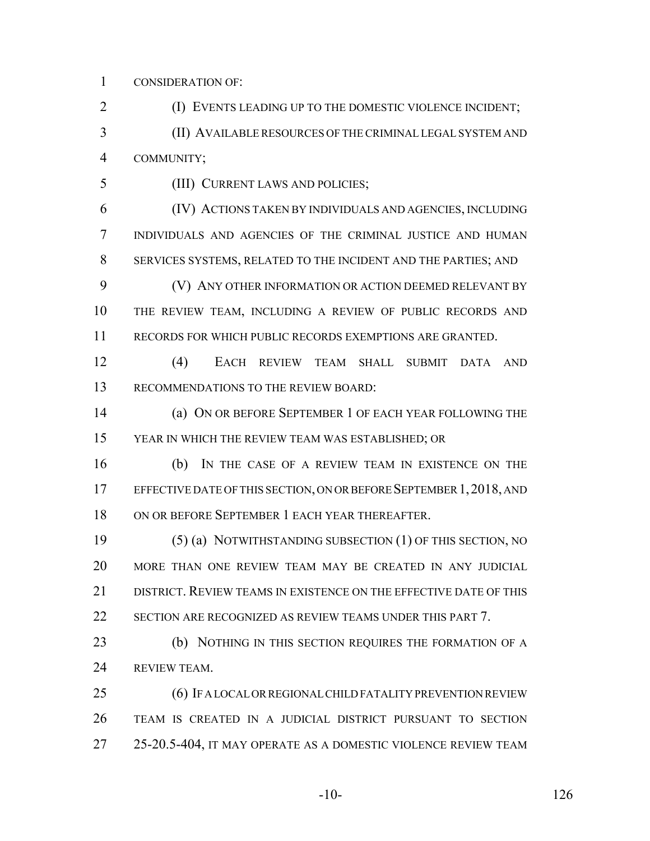CONSIDERATION OF:

(I) EVENTS LEADING UP TO THE DOMESTIC VIOLENCE INCIDENT;

 (II) AVAILABLE RESOURCES OF THE CRIMINAL LEGAL SYSTEM AND COMMUNITY;

(III) CURRENT LAWS AND POLICIES;

 (IV) ACTIONS TAKEN BY INDIVIDUALS AND AGENCIES, INCLUDING INDIVIDUALS AND AGENCIES OF THE CRIMINAL JUSTICE AND HUMAN SERVICES SYSTEMS, RELATED TO THE INCIDENT AND THE PARTIES; AND

 (V) ANY OTHER INFORMATION OR ACTION DEEMED RELEVANT BY THE REVIEW TEAM, INCLUDING A REVIEW OF PUBLIC RECORDS AND RECORDS FOR WHICH PUBLIC RECORDS EXEMPTIONS ARE GRANTED.

 (4) EACH REVIEW TEAM SHALL SUBMIT DATA AND 13 RECOMMENDATIONS TO THE REVIEW BOARD:

 (a) ON OR BEFORE SEPTEMBER 1 OF EACH YEAR FOLLOWING THE YEAR IN WHICH THE REVIEW TEAM WAS ESTABLISHED; OR

 (b) IN THE CASE OF A REVIEW TEAM IN EXISTENCE ON THE 17 EFFECTIVE DATE OF THIS SECTION, ON OR BEFORE SEPTEMBER 1, 2018, AND ON OR BEFORE SEPTEMBER 1 EACH YEAR THEREAFTER.

 (5) (a) NOTWITHSTANDING SUBSECTION (1) OF THIS SECTION, NO MORE THAN ONE REVIEW TEAM MAY BE CREATED IN ANY JUDICIAL 21 DISTRICT. REVIEW TEAMS IN EXISTENCE ON THE EFFECTIVE DATE OF THIS SECTION ARE RECOGNIZED AS REVIEW TEAMS UNDER THIS PART 7.

 (b) NOTHING IN THIS SECTION REQUIRES THE FORMATION OF A REVIEW TEAM.

 (6) IF A LOCAL OR REGIONAL CHILD FATALITY PREVENTION REVIEW TEAM IS CREATED IN A JUDICIAL DISTRICT PURSUANT TO SECTION 25-20.5-404, IT MAY OPERATE AS A DOMESTIC VIOLENCE REVIEW TEAM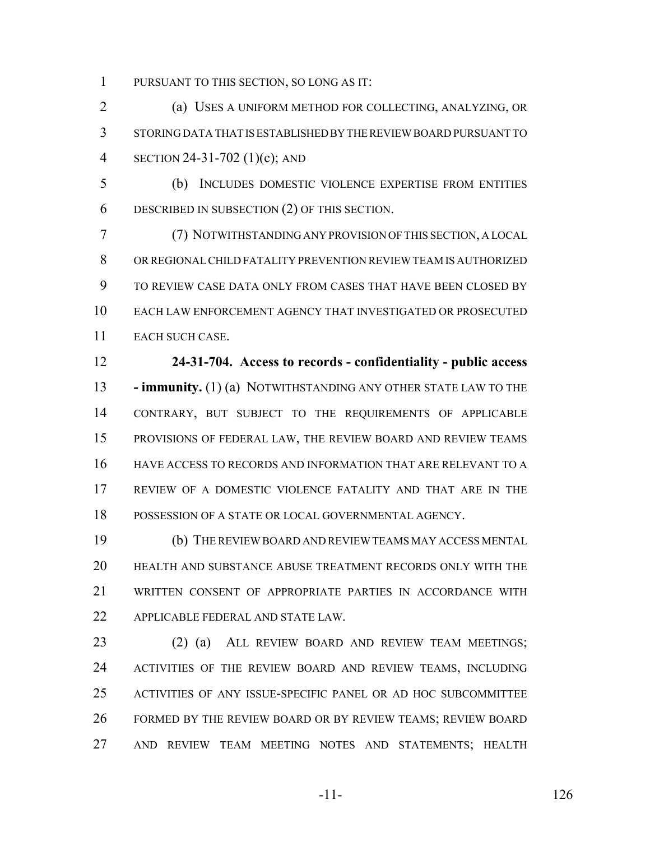PURSUANT TO THIS SECTION, SO LONG AS IT:

 (a) USES A UNIFORM METHOD FOR COLLECTING, ANALYZING, OR STORING DATA THAT IS ESTABLISHED BY THE REVIEW BOARD PURSUANT TO SECTION 24-31-702 (1)(c); AND

 (b) INCLUDES DOMESTIC VIOLENCE EXPERTISE FROM ENTITIES DESCRIBED IN SUBSECTION (2) OF THIS SECTION.

 (7) NOTWITHSTANDING ANY PROVISION OF THIS SECTION, A LOCAL OR REGIONAL CHILD FATALITY PREVENTION REVIEW TEAM IS AUTHORIZED TO REVIEW CASE DATA ONLY FROM CASES THAT HAVE BEEN CLOSED BY EACH LAW ENFORCEMENT AGENCY THAT INVESTIGATED OR PROSECUTED EACH SUCH CASE.

 **24-31-704. Access to records - confidentiality - public access - immunity.** (1) (a) NOTWITHSTANDING ANY OTHER STATE LAW TO THE CONTRARY, BUT SUBJECT TO THE REQUIREMENTS OF APPLICABLE PROVISIONS OF FEDERAL LAW, THE REVIEW BOARD AND REVIEW TEAMS HAVE ACCESS TO RECORDS AND INFORMATION THAT ARE RELEVANT TO A REVIEW OF A DOMESTIC VIOLENCE FATALITY AND THAT ARE IN THE POSSESSION OF A STATE OR LOCAL GOVERNMENTAL AGENCY.

 (b) THE REVIEW BOARD AND REVIEW TEAMS MAY ACCESS MENTAL HEALTH AND SUBSTANCE ABUSE TREATMENT RECORDS ONLY WITH THE WRITTEN CONSENT OF APPROPRIATE PARTIES IN ACCORDANCE WITH APPLICABLE FEDERAL AND STATE LAW.

 (2) (a) ALL REVIEW BOARD AND REVIEW TEAM MEETINGS; ACTIVITIES OF THE REVIEW BOARD AND REVIEW TEAMS, INCLUDING ACTIVITIES OF ANY ISSUE-SPECIFIC PANEL OR AD HOC SUBCOMMITTEE FORMED BY THE REVIEW BOARD OR BY REVIEW TEAMS; REVIEW BOARD AND REVIEW TEAM MEETING NOTES AND STATEMENTS; HEALTH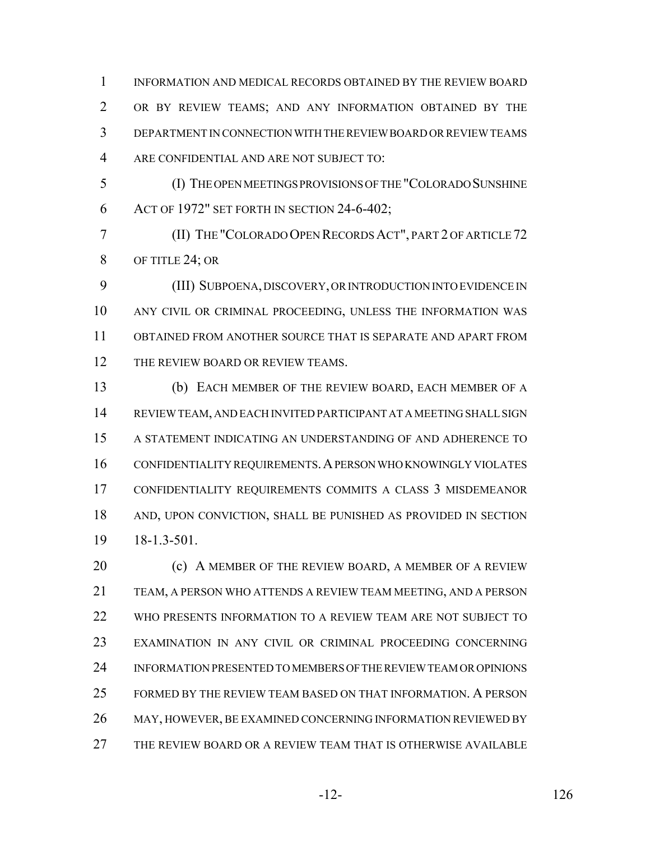INFORMATION AND MEDICAL RECORDS OBTAINED BY THE REVIEW BOARD OR BY REVIEW TEAMS; AND ANY INFORMATION OBTAINED BY THE DEPARTMENT IN CONNECTION WITH THE REVIEW BOARD OR REVIEW TEAMS ARE CONFIDENTIAL AND ARE NOT SUBJECT TO:

 (I) THE OPEN MEETINGS PROVISIONS OF THE "COLORADO SUNSHINE ACT OF 1972" SET FORTH IN SECTION 24-6-402;

 (II) THE "COLORADO OPEN RECORDS ACT", PART 2 OF ARTICLE 72 8 OF TITLE 24; OR

 (III) SUBPOENA, DISCOVERY, OR INTRODUCTION INTO EVIDENCE IN ANY CIVIL OR CRIMINAL PROCEEDING, UNLESS THE INFORMATION WAS OBTAINED FROM ANOTHER SOURCE THAT IS SEPARATE AND APART FROM 12 THE REVIEW BOARD OR REVIEW TEAMS.

 (b) EACH MEMBER OF THE REVIEW BOARD, EACH MEMBER OF A REVIEW TEAM, AND EACH INVITED PARTICIPANT AT A MEETING SHALL SIGN A STATEMENT INDICATING AN UNDERSTANDING OF AND ADHERENCE TO CONFIDENTIALITY REQUIREMENTS.A PERSON WHO KNOWINGLY VIOLATES CONFIDENTIALITY REQUIREMENTS COMMITS A CLASS 3 MISDEMEANOR AND, UPON CONVICTION, SHALL BE PUNISHED AS PROVIDED IN SECTION 18-1.3-501.

**(c)** A MEMBER OF THE REVIEW BOARD, A MEMBER OF A REVIEW TEAM, A PERSON WHO ATTENDS A REVIEW TEAM MEETING, AND A PERSON WHO PRESENTS INFORMATION TO A REVIEW TEAM ARE NOT SUBJECT TO EXAMINATION IN ANY CIVIL OR CRIMINAL PROCEEDING CONCERNING INFORMATION PRESENTED TO MEMBERS OF THE REVIEW TEAM OR OPINIONS FORMED BY THE REVIEW TEAM BASED ON THAT INFORMATION. A PERSON MAY, HOWEVER, BE EXAMINED CONCERNING INFORMATION REVIEWED BY THE REVIEW BOARD OR A REVIEW TEAM THAT IS OTHERWISE AVAILABLE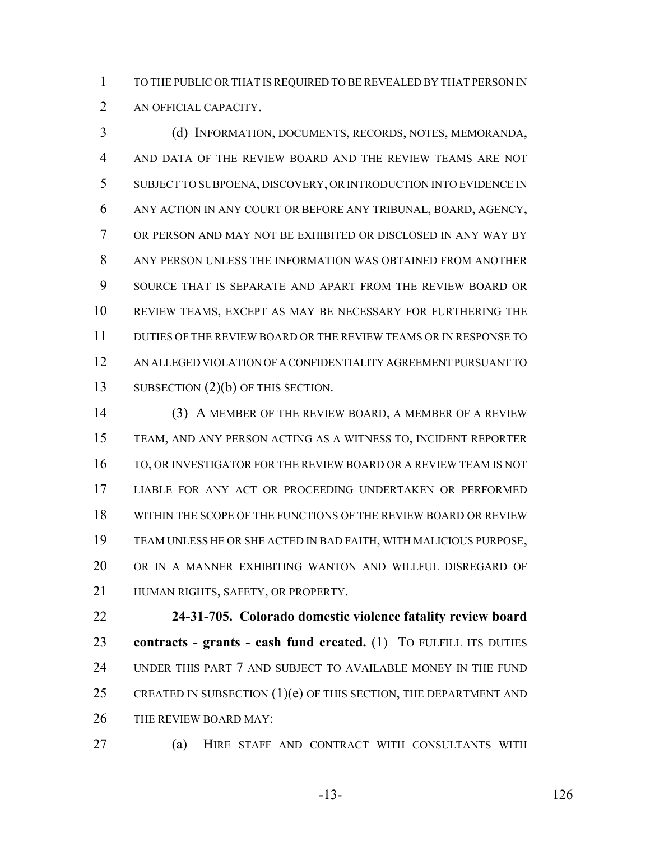TO THE PUBLIC OR THAT IS REQUIRED TO BE REVEALED BY THAT PERSON IN AN OFFICIAL CAPACITY.

 (d) INFORMATION, DOCUMENTS, RECORDS, NOTES, MEMORANDA, AND DATA OF THE REVIEW BOARD AND THE REVIEW TEAMS ARE NOT SUBJECT TO SUBPOENA, DISCOVERY, OR INTRODUCTION INTO EVIDENCE IN ANY ACTION IN ANY COURT OR BEFORE ANY TRIBUNAL, BOARD, AGENCY, OR PERSON AND MAY NOT BE EXHIBITED OR DISCLOSED IN ANY WAY BY ANY PERSON UNLESS THE INFORMATION WAS OBTAINED FROM ANOTHER SOURCE THAT IS SEPARATE AND APART FROM THE REVIEW BOARD OR REVIEW TEAMS, EXCEPT AS MAY BE NECESSARY FOR FURTHERING THE DUTIES OF THE REVIEW BOARD OR THE REVIEW TEAMS OR IN RESPONSE TO AN ALLEGED VIOLATION OF A CONFIDENTIALITY AGREEMENT PURSUANT TO 13 SUBSECTION (2)(b) OF THIS SECTION.

 (3) A MEMBER OF THE REVIEW BOARD, A MEMBER OF A REVIEW TEAM, AND ANY PERSON ACTING AS A WITNESS TO, INCIDENT REPORTER TO, OR INVESTIGATOR FOR THE REVIEW BOARD OR A REVIEW TEAM IS NOT LIABLE FOR ANY ACT OR PROCEEDING UNDERTAKEN OR PERFORMED WITHIN THE SCOPE OF THE FUNCTIONS OF THE REVIEW BOARD OR REVIEW TEAM UNLESS HE OR SHE ACTED IN BAD FAITH, WITH MALICIOUS PURPOSE, OR IN A MANNER EXHIBITING WANTON AND WILLFUL DISREGARD OF HUMAN RIGHTS, SAFETY, OR PROPERTY.

 **24-31-705. Colorado domestic violence fatality review board contracts - grants - cash fund created.** (1) TO FULFILL ITS DUTIES UNDER THIS PART 7 AND SUBJECT TO AVAILABLE MONEY IN THE FUND 25 CREATED IN SUBSECTION  $(1)(e)$  OF THIS SECTION, THE DEPARTMENT AND 26 THE REVIEW BOARD MAY:

(a) HIRE STAFF AND CONTRACT WITH CONSULTANTS WITH

-13- 126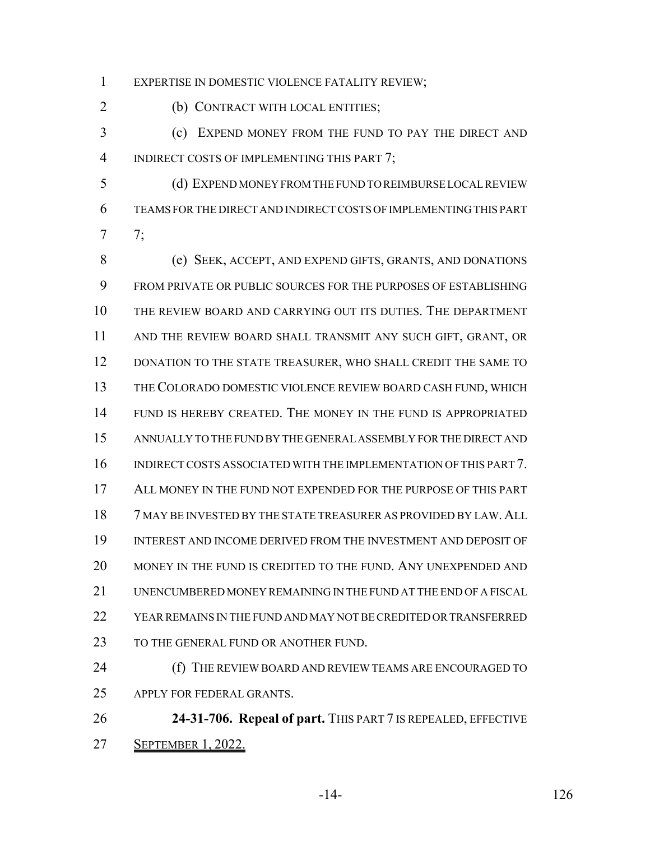EXPERTISE IN DOMESTIC VIOLENCE FATALITY REVIEW;

2 (b) CONTRACT WITH LOCAL ENTITIES;

 (c) EXPEND MONEY FROM THE FUND TO PAY THE DIRECT AND 4 INDIRECT COSTS OF IMPLEMENTING THIS PART 7;

 (d) EXPEND MONEY FROM THE FUND TO REIMBURSE LOCAL REVIEW TEAMS FOR THE DIRECT AND INDIRECT COSTS OF IMPLEMENTING THIS PART 7;

 (e) SEEK, ACCEPT, AND EXPEND GIFTS, GRANTS, AND DONATIONS FROM PRIVATE OR PUBLIC SOURCES FOR THE PURPOSES OF ESTABLISHING THE REVIEW BOARD AND CARRYING OUT ITS DUTIES. THE DEPARTMENT AND THE REVIEW BOARD SHALL TRANSMIT ANY SUCH GIFT, GRANT, OR 12 DONATION TO THE STATE TREASURER, WHO SHALL CREDIT THE SAME TO THE COLORADO DOMESTIC VIOLENCE REVIEW BOARD CASH FUND, WHICH FUND IS HEREBY CREATED. THE MONEY IN THE FUND IS APPROPRIATED ANNUALLY TO THE FUND BY THE GENERAL ASSEMBLY FOR THE DIRECT AND INDIRECT COSTS ASSOCIATED WITH THE IMPLEMENTATION OF THIS PART 7. ALL MONEY IN THE FUND NOT EXPENDED FOR THE PURPOSE OF THIS PART 7 MAY BE INVESTED BY THE STATE TREASURER AS PROVIDED BY LAW. ALL INTEREST AND INCOME DERIVED FROM THE INVESTMENT AND DEPOSIT OF MONEY IN THE FUND IS CREDITED TO THE FUND. ANY UNEXPENDED AND UNENCUMBERED MONEY REMAINING IN THE FUND AT THE END OF A FISCAL YEAR REMAINS IN THE FUND AND MAY NOT BE CREDITED OR TRANSFERRED 23 TO THE GENERAL FUND OR ANOTHER FUND.

**(f)** THE REVIEW BOARD AND REVIEW TEAMS ARE ENCOURAGED TO APPLY FOR FEDERAL GRANTS.

 **24-31-706. Repeal of part.** THIS PART 7 IS REPEALED, EFFECTIVE SEPTEMBER 1, 2022.

-14- 126